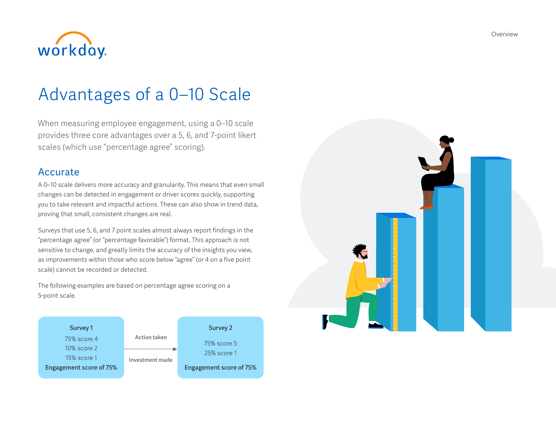

# Advantages of a 0–10 Scale

When measuring employee engagement, using a 0–10 scale provides three core advantages over a 5, 6, and 7-point likert scales (which use "percentage agree" scoring).

### Accurate

A 0–10 scale delivers more accuracy and granularity. This means that even small changes can be detected in engagement or driver scores quickly, supporting you to take relevant and impactful actions. These can also show in trend data, proving that small, consistent changes are real.

Surveys that use 5, 6, and 7 point scales almost always report findings in the "percentage agree" (or "percentage favorable") format. This approach is not sensitive to change, and greatly limits the accuracy of the insights you view, as improvements within those who score below "agree" (or 4 on a five point scale) cannot be recorded or detected.

The following examples are based on percentage agree scoring on a 5-point scale.



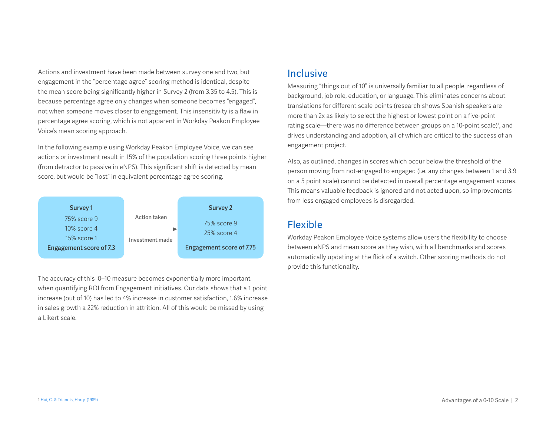Actions and investment have been made between survey one and two, but engagement in the "percentage agree" scoring method is identical, despite the mean score being significantly higher in Survey 2 (from 3.35 to 4.5). This is because percentage agree only changes when someone becomes "engaged", not when someone moves closer to engagement. This insensitivity is a flaw in percentage agree scoring, which is not apparent in Workday Peakon Employee Voice's mean scoring approach.

In the following example using Workday Peakon Employee Voice, we can see actions or investment result in 15% of the population scoring three points higher (from detractor to passive in eNPS). This significant shift is detected by mean score, but would be "lost" in equivalent percentage agree scoring.



The accuracy of this 0–10 measure becomes exponentially more important when quantifying ROI from Engagement initiatives. Our data shows that a 1 point increase (out of 10) has led to 4% increase in customer satisfaction, 1.6% increase in sales growth a 22% reduction in attrition. All of this would be missed by using a Likert scale.

### Inclusive

Measuring "things out of 10" is universally familiar to all people, regardless of background, job role, education, or language. This eliminates concerns about translations for different scale points (research shows Spanish speakers are more than 2x as likely to select the highest or lowest point on a five-point rating scale—there was no difference between groups on a 10-point scale)<sup>1</sup>, and drives understanding and adoption, all of which are critical to the success of an engagement project.

Also, as outlined, changes in scores which occur below the threshold of the person moving from not-engaged to engaged (i.e. any changes between 1 and 3.9 on a 5 point scale) cannot be detected in overall percentage engagement scores. This means valuable feedback is ignored and not acted upon, so improvements from less engaged employees is disregarded.

## Flexible

Workday Peakon Employee Voice systems allow users the flexibility to choose between eNPS and mean score as they wish, with all benchmarks and scores automatically updating at the flick of a switch. Other scoring methods do not provide this functionality.